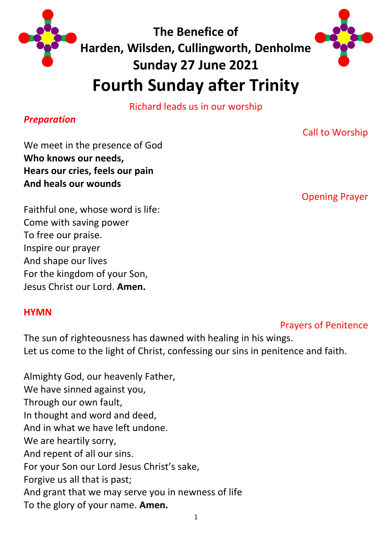**The Benefice of Harden, Wilsden, Cullingworth, Denholme Sunday 27 June 2021 Fourth Sunday after Trinity**

Richard leads us in our worship

## *Preparation*

We meet in the presence of God **Who knows our needs, Hears our cries, feels our pain And heals our wounds**

Faithful one, whose word is life: Come with saving power To free our praise. Inspire our prayer And shape our lives For the kingdom of your Son, Jesus Christ our Lord. **Amen.**

#### **HYMN**

## Prayers of Penitence

The sun of righteousness has dawned with healing in his wings. Let us come to the light of Christ, confessing our sins in penitence and faith.

Almighty God, our heavenly Father, We have sinned against you, Through our own fault, In thought and word and deed, And in what we have left undone. We are heartily sorry, And repent of all our sins. For your Son our Lord Jesus Christ's sake, Forgive us all that is past; And grant that we may serve you in newness of life To the glory of your name. **Amen.**

# Call to Worship

Opening Prayer



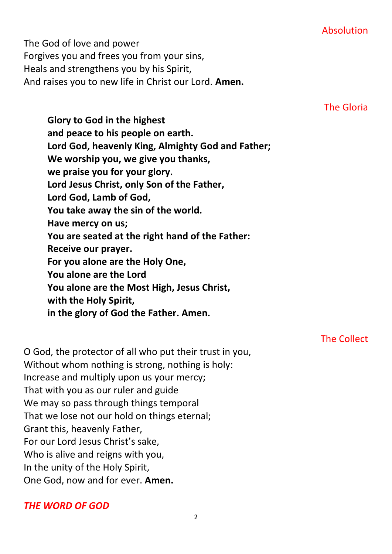The God of love and power Forgives you and frees you from your sins, Heals and strengthens you by his Spirit, And raises you to new life in Christ our Lord. **Amen.**

The Gloria

**Glory to God in the highest and peace to his people on earth. Lord God, heavenly King, Almighty God and Father; We worship you, we give you thanks, we praise you for your glory. Lord Jesus Christ, only Son of the Father, Lord God, Lamb of God, You take away the sin of the world. Have mercy on us; You are seated at the right hand of the Father: Receive our prayer. For you alone are the Holy One, You alone are the Lord You alone are the Most High, Jesus Christ, with the Holy Spirit, in the glory of God the Father. Amen.**

The Collect

O God, the protector of all who put their trust in you, Without whom nothing is strong, nothing is holy: Increase and multiply upon us your mercy; That with you as our ruler and guide We may so pass through things temporal That we lose not our hold on things eternal; Grant this, heavenly Father, For our Lord Jesus Christ's sake, Who is alive and reigns with you, In the unity of the Holy Spirit, One God, now and for ever. **Amen.**

## *THE WORD OF GOD*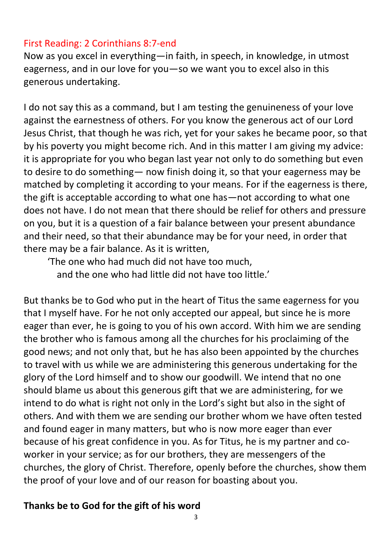### First Reading: 2 Corinthians 8:7-end

Now as you excel in everything—in faith, in speech, in knowledge, in utmost eagerness, and in our love for you—so we want you to excel also in this generous undertaking.

I do not say this as a command, but I am testing the genuineness of your love against the earnestness of others. For you know the generous act of our Lord Jesus Christ, that though he was rich, yet for your sakes he became poor, so that by his poverty you might become rich. And in this matter I am giving my advice: it is appropriate for you who began last year not only to do something but even to desire to do something— now finish doing it, so that your eagerness may be matched by completing it according to your means. For if the eagerness is there, the gift is acceptable according to what one has—not according to what one does not have. I do not mean that there should be relief for others and pressure on you, but it is a question of a fair balance between your present abundance and their need, so that their abundance may be for your need, in order that there may be a fair balance. As it is written,

'The one who had much did not have too much,

and the one who had little did not have too little.'

But thanks be to God who put in the heart of Titus the same eagerness for you that I myself have. For he not only accepted our appeal, but since he is more eager than ever, he is going to you of his own accord. With him we are sending the brother who is famous among all the churches for his proclaiming of the good news; and not only that, but he has also been appointed by the churches to travel with us while we are administering this generous undertaking for the glory of the Lord himself and to show our goodwill. We intend that no one should blame us about this generous gift that we are administering, for we intend to do what is right not only in the Lord's sight but also in the sight of others. And with them we are sending our brother whom we have often tested and found eager in many matters, but who is now more eager than ever because of his great confidence in you. As for Titus, he is my partner and coworker in your service; as for our brothers, they are messengers of the churches, the glory of Christ. Therefore, openly before the churches, show them the proof of your love and of our reason for boasting about you.

## **Thanks be to God for the gift of his word**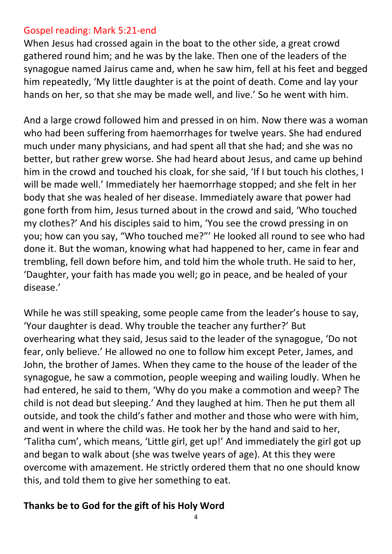#### Gospel reading: Mark 5:21-end

When Jesus had crossed again in the boat to the other side, a great crowd gathered round him; and he was by the lake. Then one of the leaders of the synagogue named Jairus came and, when he saw him, fell at his feet and begged him repeatedly, 'My little daughter is at the point of death. Come and lay your hands on her, so that she may be made well, and live.' So he went with him.

And a large crowd followed him and pressed in on him. Now there was a woman who had been suffering from haemorrhages for twelve years. She had endured much under many physicians, and had spent all that she had; and she was no better, but rather grew worse. She had heard about Jesus, and came up behind him in the crowd and touched his cloak, for she said, 'If I but touch his clothes, I will be made well.' Immediately her haemorrhage stopped; and she felt in her body that she was healed of her disease. Immediately aware that power had gone forth from him, Jesus turned about in the crowd and said, 'Who touched my clothes?' And his disciples said to him, 'You see the crowd pressing in on you; how can you say, "Who touched me?"' He looked all round to see who had done it. But the woman, knowing what had happened to her, came in fear and trembling, fell down before him, and told him the whole truth. He said to her, 'Daughter, your faith has made you well; go in peace, and be healed of your disease.'

While he was still speaking, some people came from the leader's house to say, 'Your daughter is dead. Why trouble the teacher any further?' But overhearing what they said, Jesus said to the leader of the synagogue, 'Do not fear, only believe.' He allowed no one to follow him except Peter, James, and John, the brother of James. When they came to the house of the leader of the synagogue, he saw a commotion, people weeping and wailing loudly. When he had entered, he said to them, 'Why do you make a commotion and weep? The child is not dead but sleeping.' And they laughed at him. Then he put them all outside, and took the child's father and mother and those who were with him, and went in where the child was. He took her by the hand and said to her, 'Talitha cum', which means, 'Little girl, get up!' And immediately the girl got up and began to walk about (she was twelve years of age). At this they were overcome with amazement. He strictly ordered them that no one should know this, and told them to give her something to eat.

## **Thanks be to God for the gift of his Holy Word**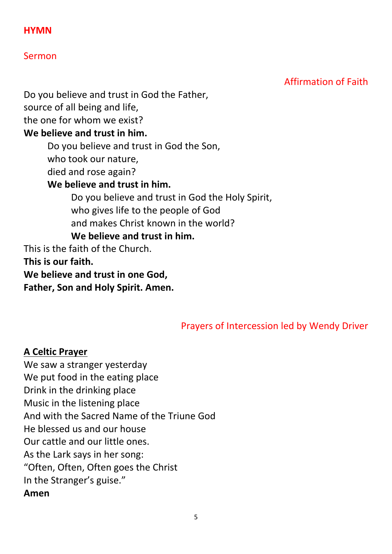#### **HYMN**

#### Sermon

Affirmation of Faith

Do you believe and trust in God the Father, source of all being and life, the one for whom we exist? **We believe and trust in him.** Do you believe and trust in God the Son, who took our nature, died and rose again? **We believe and trust in him.** Do you believe and trust in God the Holy Spirit, who gives life to the people of God and makes Christ known in the world? **We believe and trust in him.** This is the faith of the Church. **This is our faith. We believe and trust in one God, Father, Son and Holy Spirit. Amen.**

Prayers of Intercession led by Wendy Driver

#### **A Celtic Prayer**

We saw a stranger yesterday We put food in the eating place Drink in the drinking place Music in the listening place And with the Sacred Name of the Triune God He blessed us and our house Our cattle and our little ones. As the Lark says in her song: "Often, Often, Often goes the Christ In the Stranger's guise." **Amen**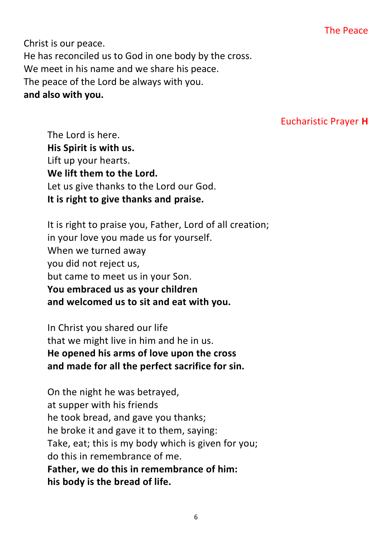#### The Peace

Christ is our peace. He has reconciled us to God in one body by the cross. We meet in his name and we share his peace. The peace of the Lord be always with you. **and also with you.**

#### Eucharistic Prayer **H**

The Lord is here. **His Spirit is with us.** Lift up your hearts. **We lift them to the Lord.** Let us give thanks to the Lord our God. **It is right to give thanks and praise.**

It is right to praise you, Father, Lord of all creation; in your love you made us for yourself. When we turned away you did not reject us, but came to meet us in your Son. **You embraced us as your children and welcomed us to sit and eat with you.**

In Christ you shared our life that we might live in him and he in us. **He opened his arms of love upon the cross and made for all the perfect sacrifice for sin.**

On the night he was betrayed, at supper with his friends he took bread, and gave you thanks; he broke it and gave it to them, saying: Take, eat; this is my body which is given for you; do this in remembrance of me. **Father, we do this in remembrance of him: his body is the bread of life.**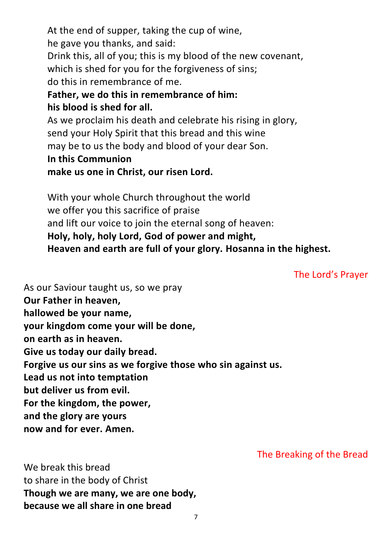At the end of supper, taking the cup of wine, he gave you thanks, and said: Drink this, all of you; this is my blood of the new covenant, which is shed for you for the forgiveness of sins; do this in remembrance of me. **Father, we do this in remembrance of him: his blood is shed for all.** As we proclaim his death and celebrate his rising in glory, send your Holy Spirit that this bread and this wine may be to us the body and blood of your dear Son. **In this Communion make us one in Christ, our risen Lord.**

With your whole Church throughout the world we offer you this sacrifice of praise and lift our voice to join the eternal song of heaven: **Holy, holy, holy Lord, God of power and might, Heaven and earth are full of your glory. Hosanna in the highest.**

#### The Lord's Prayer

As our Saviour taught us, so we pray **Our Father in heaven, hallowed be your name, your kingdom come your will be done, on earth as in heaven. Give us today our daily bread. Forgive us our sins as we forgive those who sin against us. Lead us not into temptation but deliver us from evil. For the kingdom, the power, and the glory are yours now and for ever. Amen.**

We break this bread to share in the body of Christ **Though we are many, we are one body, because we all share in one bread**

The Breaking of the Bread